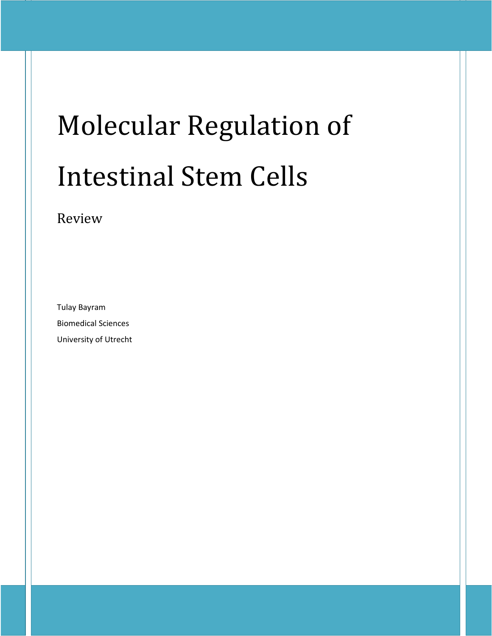# Molecular Regulation of Intestinal Stem Cells

# Review

Tulay Bayram Biomedical Sciences University of Utrecht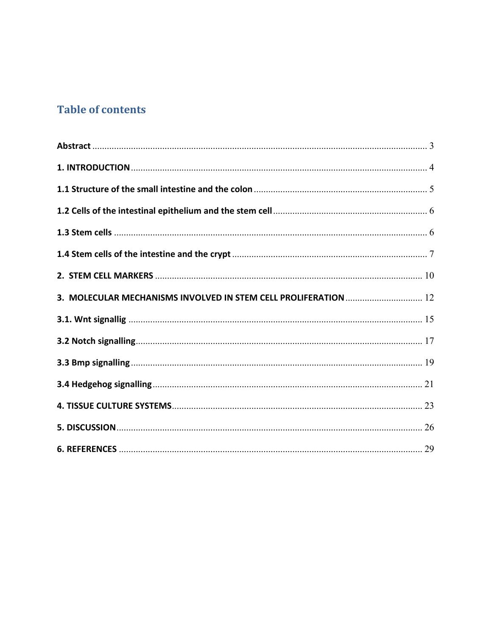# **Table of contents**

| 3. MOLECULAR MECHANISMS INVOLVED IN STEM CELL PROLIFERATION  12 |  |
|-----------------------------------------------------------------|--|
|                                                                 |  |
|                                                                 |  |
|                                                                 |  |
|                                                                 |  |
|                                                                 |  |
|                                                                 |  |
|                                                                 |  |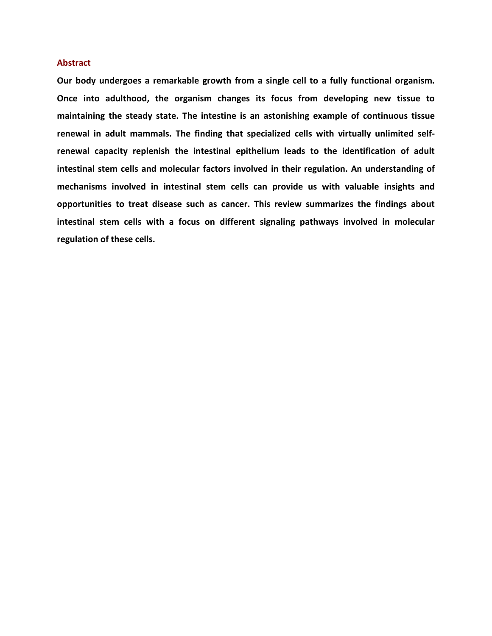## **Abstract**

**Our body undergoes a remarkable growth from a single cell to a fully functional organism. Once into adulthood, the organism changes its focus from developing new tissue to maintaining the steady state. The intestine is an astonishing example of continuous tissue renewal in adult mammals. The finding that specialized cells with virtually unlimited selfrenewal capacity replenish the intestinal epithelium leads to the identification of adult intestinal stem cells and molecular factors involved in their regulation. An understanding of mechanisms involved in intestinal stem cells can provide us with valuable insights and opportunities to treat disease such as cancer. This review summarizes the findings about intestinal stem cells with a focus on different signaling pathways involved in molecular regulation of these cells.**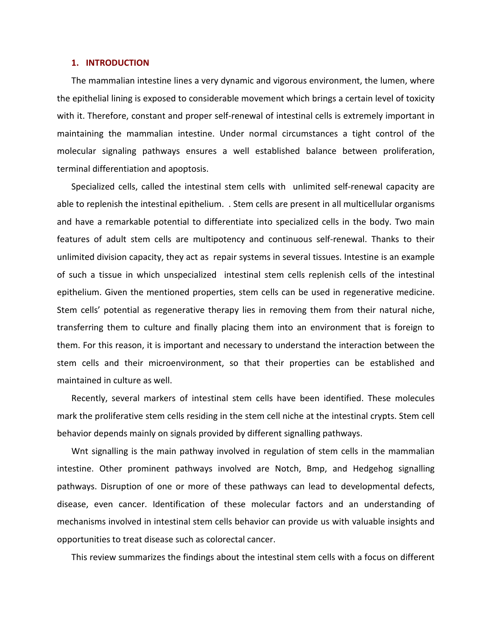#### **1. INTRODUCTION**

The mammalian intestine lines a very dynamic and vigorous environment, the lumen, where the epithelial lining is exposed to considerable movement which brings a certain level of toxicity with it. Therefore, constant and proper self-renewal of intestinal cells is extremely important in maintaining the mammalian intestine. Under normal circumstances a tight control of the molecular signaling pathways ensures a well established balance between proliferation, terminal differentiation and apoptosis.

Specialized cells, called the intestinal stem cells with unlimited self-renewal capacity are able to replenish the intestinal epithelium. . Stem cells are present in all multicellular organisms and have a remarkable potential to differentiate into specialized cells in the body. Two main features of adult stem cells are multipotency and continuous self-renewal. Thanks to their unlimited division capacity, they act as repair systems in several tissues. Intestine is an example of such a tissue in which unspecialized intestinal stem cells replenish cells of the intestinal epithelium. Given the mentioned properties, stem cells can be used in regenerative medicine. Stem cells' potential as regenerative therapy lies in removing them from their natural niche, transferring them to culture and finally placing them into an environment that is foreign to them. For this reason, it is important and necessary to understand the interaction between the stem cells and their microenvironment, so that their properties can be established and maintained in culture as well.

Recently, several markers of intestinal stem cells have been identified. These molecules mark the proliferative stem cells residing in the stem cell niche at the intestinal crypts. Stem cell behavior depends mainly on signals provided by different signalling pathways.

Wnt signalling is the main pathway involved in regulation of stem cells in the mammalian intestine. Other prominent pathways involved are Notch, Bmp, and Hedgehog signalling pathways. Disruption of one or more of these pathways can lead to developmental defects, disease, even cancer. Identification of these molecular factors and an understanding of mechanisms involved in intestinal stem cells behavior can provide us with valuable insights and opportunities to treat disease such as colorectal cancer.

This review summarizes the findings about the intestinal stem cells with a focus on different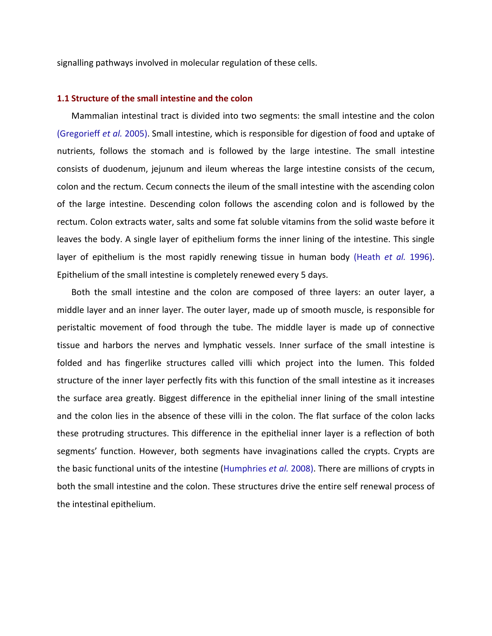signalling pathways involved in molecular regulation of these cells.

## **1.1 Structure of the small intestine and the colon**

Mammalian intestinal tract is divided into two segments: the small intestine and the colon (Gregorieff *et al.* 2005). Small intestine, which is responsible for digestion of food and uptake of nutrients, follows the stomach and is followed by the large intestine. The small intestine consists of duodenum, jejunum and ileum whereas the large intestine consists of the cecum, colon and the rectum. Cecum connects the ileum of the small intestine with the ascending colon of the large intestine. Descending colon follows the ascending colon and is followed by the rectum. Colon extracts water, salts and some fat soluble vitamins from the solid waste before it leaves the body. A single layer of epithelium forms the inner lining of the intestine. This single layer of epithelium is the most rapidly renewing tissue in human body (Heath *et al.* 1996). Epithelium of the small intestine is completely renewed every 5 days.

Both the small intestine and the colon are composed of three layers: an outer layer, a middle layer and an inner layer. The outer layer, made up of smooth muscle, is responsible for peristaltic movement of food through the tube. The middle layer is made up of connective tissue and harbors the nerves and lymphatic vessels. Inner surface of the small intestine is folded and has fingerlike structures called villi which project into the lumen. This folded structure of the inner layer perfectly fits with this function of the small intestine as it increases the surface area greatly. Biggest difference in the epithelial inner lining of the small intestine and the colon lies in the absence of these villi in the colon. The flat surface of the colon lacks these protruding structures. This difference in the epithelial inner layer is a reflection of both segments' function. However, both segments have invaginations called the crypts. Crypts are the basic functional units of the intestine (Humphries *et al.* 2008). There are millions of crypts in both the small intestine and the colon. These structures drive the entire self renewal process of the intestinal epithelium.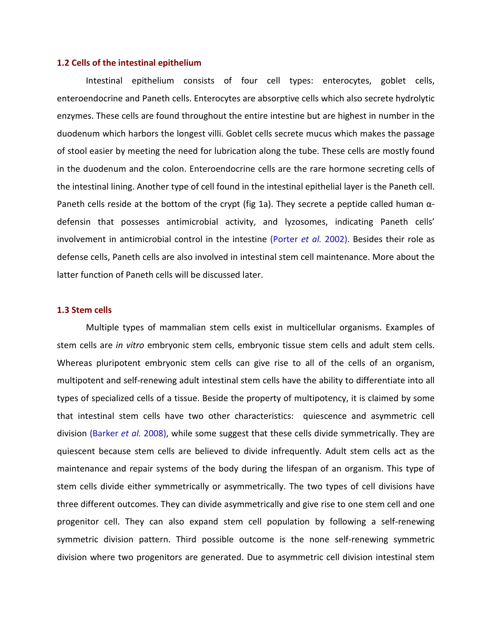#### **1.2 Cells of the intestinal epithelium**

Intestinal epithelium consists of four cell types: enterocytes, goblet cells, enteroendocrine and Paneth cells. Enterocytes are absorptive cells which also secrete hydrolytic enzymes. These cells are found throughout the entire intestine but are highest in number in the duodenum which harbors the longest villi. Goblet cells secrete mucus which makes the passage of stool easier by meeting the need for lubrication along the tube. These cells are mostly found in the duodenum and the colon. Enteroendocrine cells are the rare hormone secreting cells of the intestinal lining. Another type of cell found in the intestinal epithelial layer is the Paneth cell. Paneth cells reside at the bottom of the crypt (fig 1a). They secrete a peptide called human  $\alpha$ defensin that possesses antimicrobial activity, and lyzosomes, indicating Paneth cells' involvement in antimicrobial control in the intestine (Porter *et al.* 2002). Besides their role as defense cells, Paneth cells are also involved in intestinal stem cell maintenance. More about the latter function of Paneth cells will be discussed later.

# **1.3 Stem cells**

Multiple types of mammalian stem cells exist in multicellular organisms. Examples of stem cells are *in vitro* embryonic stem cells, embryonic tissue stem cells and adult stem cells. Whereas pluripotent embryonic stem cells can give rise to all of the cells of an organism, multipotent and self-renewing adult intestinal stem cells have the ability to differentiate into all types of specialized cells of a tissue. Beside the property of multipotency, it is claimed by some that intestinal stem cells have two other characteristics: quiescence and asymmetric cell division (Barker *et al.* 2008), while some suggest that these cells divide symmetrically. They are quiescent because stem cells are believed to divide infrequently. Adult stem cells act as the maintenance and repair systems of the body during the lifespan of an organism. This type of stem cells divide either symmetrically or asymmetrically. The two types of cell divisions have three different outcomes. They can divide asymmetrically and give rise to one stem cell and one progenitor cell. They can also expand stem cell population by following a self-renewing symmetric division pattern. Third possible outcome is the none self-renewing symmetric division where two progenitors are generated. Due to asymmetric cell division intestinal stem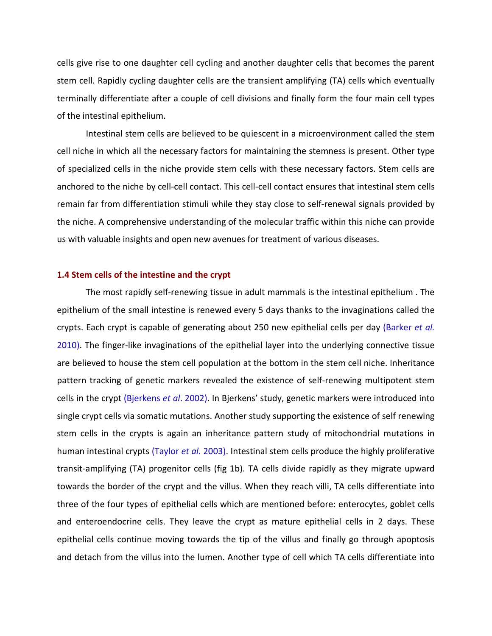cells give rise to one daughter cell cycling and another daughter cells that becomes the parent stem cell. Rapidly cycling daughter cells are the transient amplifying (TA) cells which eventually terminally differentiate after a couple of cell divisions and finally form the four main cell types of the intestinal epithelium.

Intestinal stem cells are believed to be quiescent in a microenvironment called the stem cell niche in which all the necessary factors for maintaining the stemness is present. Other type of specialized cells in the niche provide stem cells with these necessary factors. Stem cells are anchored to the niche by cell-cell contact. This cell-cell contact ensures that intestinal stem cells remain far from differentiation stimuli while they stay close to self-renewal signals provided by the niche. A comprehensive understanding of the molecular traffic within this niche can provide us with valuable insights and open new avenues for treatment of various diseases.

# **1.4 Stem cells of the intestine and the crypt**

The most rapidly self-renewing tissue in adult mammals is the intestinal epithelium . The epithelium of the small intestine is renewed every 5 days thanks to the invaginations called the crypts. Each crypt is capable of generating about 250 new epithelial cells per day (Barker *et al.* 2010). The finger-like invaginations of the epithelial layer into the underlying connective tissue are believed to house the stem cell population at the bottom in the stem cell niche. Inheritance pattern tracking of genetic markers revealed the existence of self-renewing multipotent stem cells in the crypt (Bjerkens *et al*. 2002). In Bjerkens' study, genetic markers were introduced into single crypt cells via somatic mutations. Another study supporting the existence of self renewing stem cells in the crypts is again an inheritance pattern study of mitochondrial mutations in human intestinal crypts (Taylor *et al*. 2003). Intestinal stem cells produce the highly proliferative transit-amplifying (TA) progenitor cells (fig 1b). TA cells divide rapidly as they migrate upward towards the border of the crypt and the villus. When they reach villi, TA cells differentiate into three of the four types of epithelial cells which are mentioned before: enterocytes, goblet cells and enteroendocrine cells. They leave the crypt as mature epithelial cells in 2 days. These epithelial cells continue moving towards the tip of the villus and finally go through apoptosis and detach from the villus into the lumen. Another type of cell which TA cells differentiate into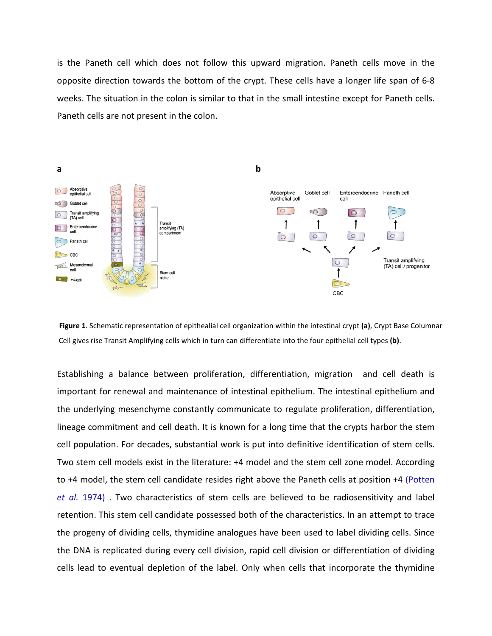is the Paneth cell which does not follow this upward migration. Paneth cells move in the opposite direction towards the bottom of the crypt. These cells have a longer life span of 6-8 weeks. The situation in the colon is similar to that in the small intestine except for Paneth cells. Paneth cells are not present in the colon.



 **Figure 1**. Schematic representation of epithealial cell organization within the intestinal crypt **(a)**, Crypt Base Columnar Cell gives rise Transit Amplifying cells which in turn can differentiate into the four epithelial cell types **(b)**.

Establishing a balance between proliferation, differentiation, migration and cell death is important for renewal and maintenance of intestinal epithelium. The intestinal epithelium and the underlying mesenchyme constantly communicate to regulate proliferation, differentiation, lineage commitment and cell death. It is known for a long time that the crypts harbor the stem cell population. For decades, substantial work is put into definitive identification of stem cells. Two stem cell models exist in the literature: +4 model and the stem cell zone model. According to +4 model, the stem cell candidate resides right above the Paneth cells at position +4 (Potten *et al.* 1974) . Two characteristics of stem cells are believed to be radiosensitivity and label retention. This stem cell candidate possessed both of the characteristics. In an attempt to trace the progeny of dividing cells, thymidine analogues have been used to label dividing cells. Since the DNA is replicated during every cell division, rapid cell division or differentiation of dividing cells lead to eventual depletion of the label. Only when cells that incorporate the thymidine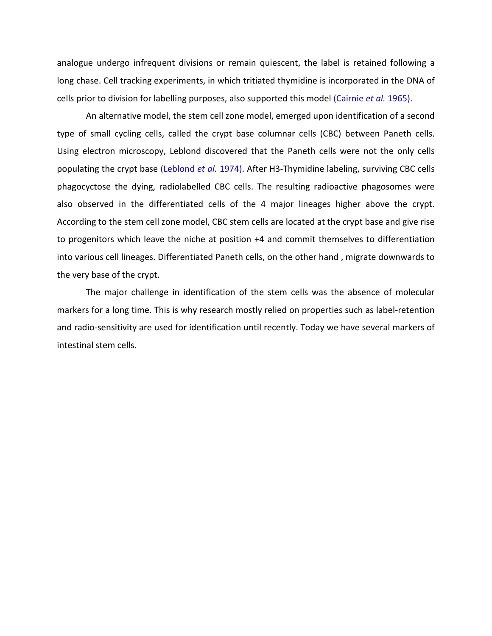analogue undergo infrequent divisions or remain quiescent, the label is retained following a long chase. Cell tracking experiments, in which tritiated thymidine is incorporated in the DNA of cells prior to division for labelling purposes, also supported this model (Cairnie *et al.* 1965).

An alternative model, the stem cell zone model, emerged upon identification of a second type of small cycling cells, called the crypt base columnar cells (CBC) between Paneth cells. Using electron microscopy, Leblond discovered that the Paneth cells were not the only cells populating the crypt base (Leblond *et al.* 1974). After H3-Thymidine labeling, surviving CBC cells phagocyctose the dying, radiolabelled CBC cells. The resulting radioactive phagosomes were also observed in the differentiated cells of the 4 major lineages higher above the crypt. According to the stem cell zone model, CBC stem cells are located at the crypt base and give rise to progenitors which leave the niche at position +4 and commit themselves to differentiation into various cell lineages. Differentiated Paneth cells, on the other hand , migrate downwards to the very base of the crypt.

The major challenge in identification of the stem cells was the absence of molecular markers for a long time. This is why research mostly relied on properties such as label-retention and radio-sensitivity are used for identification until recently. Today we have several markers of intestinal stem cells.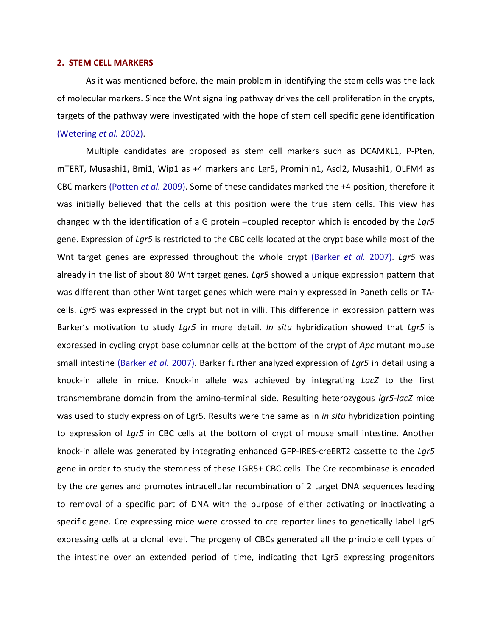#### **2. STEM CELL MARKERS**

As it was mentioned before, the main problem in identifying the stem cells was the lack of molecular markers. Since the Wnt signaling pathway drives the cell proliferation in the crypts, targets of the pathway were investigated with the hope of stem cell specific gene identification (Wetering *et al.* 2002).

Multiple candidates are proposed as stem cell markers such as DCAMKL1, P-Pten, mTERT, Musashi1, Bmi1, Wip1 as +4 markers and Lgr5, Prominin1, Ascl2, Musashi1, OLFM4 as CBC markers (Potten *et al.* 2009). Some of these candidates marked the +4 position, therefore it was initially believed that the cells at this position were the true stem cells. This view has changed with the identification of a G protein –coupled receptor which is encoded by the *Lgr5* gene. Expression of *Lgr5* is restricted to the CBC cells located at the crypt base while most of the Wnt target genes are expressed throughout the whole crypt (Barker *et al.* 2007). *Lgr5* was already in the list of about 80 Wnt target genes. *Lgr5* showed a unique expression pattern that was different than other Wnt target genes which were mainly expressed in Paneth cells or TAcells. *Lgr5* was expressed in the crypt but not in villi. This difference in expression pattern was Barker's motivation to study *Lgr5* in more detail. *In situ* hybridization showed that *Lgr5* is expressed in cycling crypt base columnar cells at the bottom of the crypt of *Apc* mutant mouse small intestine (Barker *et al.* 2007). Barker further analyzed expression of *Lgr5* in detail using a knock-in allele in mice. Knock-in allele was achieved by integrating *LacZ* to the first transmembrane domain from the amino-terminal side. Resulting heterozygous *lgr5-lacZ* mice was used to study expression of Lgr5. Results were the same as in *in situ* hybridization pointing to expression of *Lgr5* in CBC cells at the bottom of crypt of mouse small intestine. Another knock-in allele was generated by integrating enhanced GFP-IRES-creERT2 cassette to the *Lgr5* gene in order to study the stemness of these LGR5+ CBC cells. The Cre recombinase is encoded by the *cre* genes and promotes intracellular recombination of 2 target DNA sequences leading to removal of a specific part of DNA with the purpose of either activating or inactivating a specific gene. Cre expressing mice were crossed to cre reporter lines to genetically label Lgr5 expressing cells at a clonal level. The progeny of CBCs generated all the principle cell types of the intestine over an extended period of time, indicating that Lgr5 expressing progenitors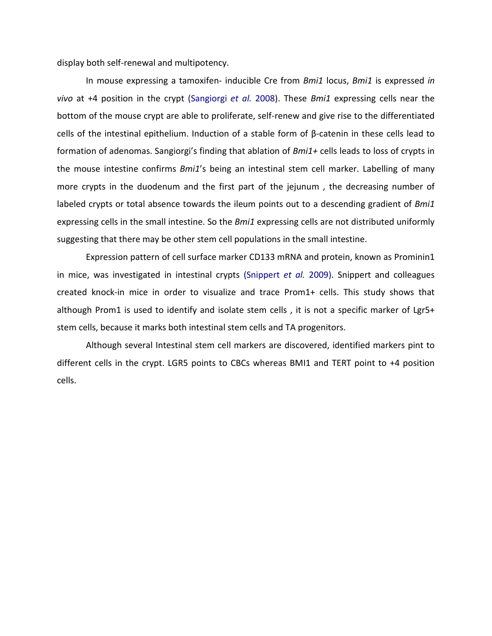display both self-renewal and multipotency.

In mouse expressing a tamoxifen- inducible Cre from *Bmi1* locus, *Bmi1* is expressed *in vivo* at +4 position in the crypt (Sangiorgi *et al.* 2008). These *Bmi1* expressing cells near the bottom of the mouse crypt are able to proliferate, self-renew and give rise to the differentiated cells of the intestinal epithelium. Induction of a stable form of β-catenin in these cells lead to formation of adenomas. Sangiorgi's finding that ablation of *Bmi1+* cells leads to loss of crypts in the mouse intestine confirms *Bmi1*'s being an intestinal stem cell marker. Labelling of many more crypts in the duodenum and the first part of the jejunum , the decreasing number of labeled crypts or total absence towards the ileum points out to a descending gradient of *Bmi1* expressing cells in the small intestine. So the *Bmi1* expressing cells are not distributed uniformly suggesting that there may be other stem cell populations in the small intestine.

Expression pattern of cell surface marker CD133 mRNA and protein, known as Prominin1 in mice, was investigated in intestinal crypts (Snippert *et al.* 2009). Snippert and colleagues created knock-in mice in order to visualize and trace Prom1+ cells. This study shows that although Prom1 is used to identify and isolate stem cells, it is not a specific marker of Lgr5+ stem cells, because it marks both intestinal stem cells and TA progenitors.

Although several Intestinal stem cell markers are discovered, identified markers pint to different cells in the crypt. LGR5 points to CBCs whereas BMI1 and TERT point to +4 position cells.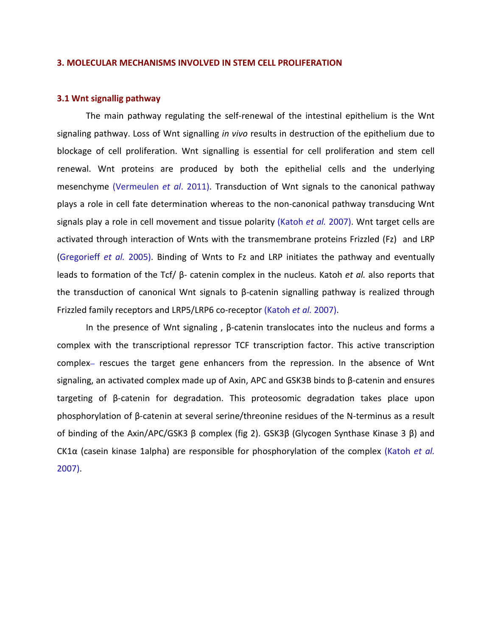#### <span id="page-11-0"></span>**3. MOLECULAR MECHANISMS INVOLVED IN STEM CELL PROLIFERATION**

## **3.1 Wnt signallig pathway**

The main pathway regulating the self-renewal of the intestinal epithelium is the Wnt signaling pathway. Loss of Wnt signalling *in vivo* results in destruction of the epithelium due to blockage of cell proliferation. Wnt signalling is essential for cell proliferation and stem cell renewal. Wnt proteins are produced by both the epithelial cells and the underlying mesenchyme (Vermeulen *et al*. 2011). Transduction of Wnt signals to the canonical pathway plays a role in cell fate determination whereas to the non-canonical pathway transducing Wnt signals play a role in cell movement and tissue polarity (Katoh *et al.* 2007). Wnt target cells are activated through interaction of Wnts with the transmembrane proteins Frizzled (Fz) and LRP (Gregorieff *et al.* 2005). Binding of Wnts to Fz and LRP initiates the pathway and eventually leads to formation of the Tcf/ β- catenin complex in the nucleus. Katoh *et al.* also reports that the transduction of canonical Wnt signals to β-catenin signalling pathway is realized through Frizzled family receptors and LRP5/LRP6 co-receptor (Katoh *et al.* 2007).

In the presence of Wnt signaling , β-catenin translocates into the nucleus and forms a complex with the transcriptional repressor TCF transcription factor. This active transcription complex– rescues the target gene enhancers from the repression. In the absence of Wnt signaling, an activated complex made up of Axin, APC and GSK3B binds to β-catenin and ensures targeting of β-catenin for degradation. This proteosomic degradation takes place upon phosphorylation of β-catenin at several serine/threonine residues of the N-terminus as a result of binding of the Axin/APC/GSK3 β complex (fig 2). GSK3β (Glycogen Synthase Kinase 3 β) and CK1α (casein kinase 1alpha) are responsible for phosphorylation of the complex (Katoh *et al.* 2007).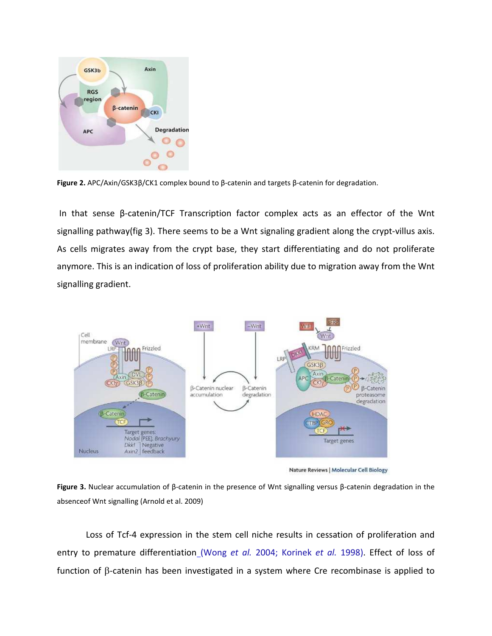

**Figure 2.** APC/Axin/GSK3β/CK1 complex bound to β-catenin and targets β-catenin for degradation.

 In that sense β-catenin/TCF Transcription factor complex acts as an effector of the Wnt signalling pathway(fig 3). There seems to be a Wnt signaling gradient along the crypt-villus axis. As cells migrates away from the crypt base, they start differentiating and do not proliferate anymore. This is an indication of loss of proliferation ability due to migration away from the Wnt signalling gradient.



Nature Reviews | Molecular Cell Biology

**Figure 3.** Nuclear accumulation of β-catenin in the presence of Wnt signalling versus β-catenin degradation in the absenceof Wnt signalling (Arnold et al. 2009)

Loss of Tcf-4 expression in the stem cell niche results in cessation of proliferation and entry to premature differentiation (Wong *et al.* 2004; Korinek *et al.* 1998). Effect of loss of function of β-catenin has been investigated in a system where Cre recombinase is applied to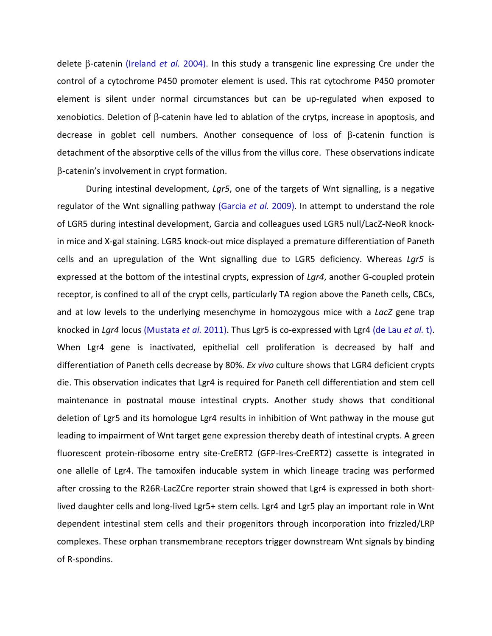delete β-catenin (Ireland *et al.* 2004). In this study a transgenic line expressing Cre under the control of a cytochrome P450 promoter element is used. This rat cytochrome P450 promoter element is silent under normal circumstances but can be up-regulated when exposed to xenobiotics. Deletion of β-catenin have led to ablation of the crytps, increase in apoptosis, and decrease in goblet cell numbers. Another consequence of loss of β-catenin function is detachment of the absorptive cells of the villus from the villus core. These observations indicate β-catenin's involvement in crypt formation.

During intestinal development, *Lgr5*, one of the targets of Wnt signalling, is a negative regulator of the Wnt signalling pathway (Garcia *et al.* 2009). In attempt to understand the role of LGR5 during intestinal development, Garcia and colleagues used LGR5 null/LacZ-NeoR knockin mice and X-gal staining. LGR5 knock-out mice displayed a premature differentiation of Paneth cells and an upregulation of the Wnt signalling due to LGR5 deficiency. Whereas *Lgr5* is expressed at the bottom of the intestinal crypts, expression of *Lgr4*, another G-coupled protein receptor, is confined to all of the crypt cells, particularly TA region above the Paneth cells, CBCs, and at low levels to the underlying mesenchyme in homozygous mice with a *LacZ* gene trap knocked in *Lgr4* locus (Mustata *et al.* 2011). Thus Lgr5 is co-expressed with Lgr4 (de Lau *et al.* t). When Lgr4 gene is inactivated, epithelial cell proliferation is decreased by half and differentiation of Paneth cells decrease by 80%. *Ex vivo* culture shows that LGR4 deficient crypts die. This observation indicates that Lgr4 is required for Paneth cell differentiation and stem cell maintenance in postnatal mouse intestinal crypts. Another study shows that conditional deletion of Lgr5 and its homologue Lgr4 results in inhibition of Wnt pathway in the mouse gut leading to impairment of Wnt target gene expression thereby death of intestinal crypts. A green fluorescent protein-ribosome entry site-CreERT2 (GFP-Ires-CreERT2) cassette is integrated in one allelle of Lgr4. The tamoxifen inducable system in which lineage tracing was performed after crossing to the R26R-LacZCre reporter strain showed that Lgr4 is expressed in both shortlived daughter cells and long-lived Lgr5+ stem cells. Lgr4 and Lgr5 play an important role in Wnt dependent intestinal stem cells and their progenitors through incorporation into frizzled/LRP complexes. These orphan transmembrane receptors trigger downstream Wnt signals by binding of R-spondins.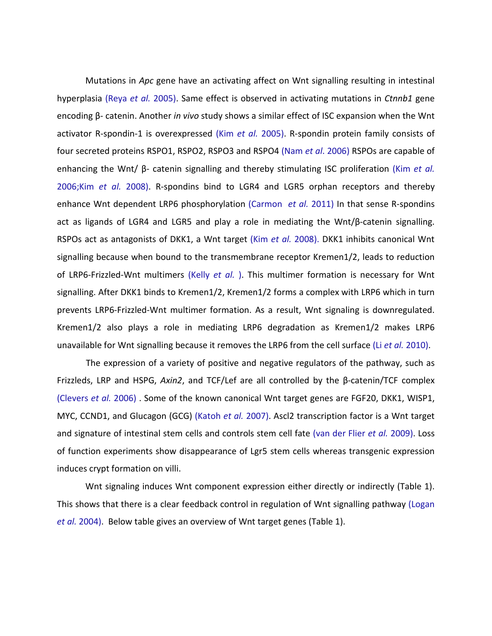Mutations in *Apc* gene have an activating affect on Wnt signalling resulting in intestinal hyperplasia (Reya *et al.* 2005). Same effect is observed in activating mutations in *Ctnnb1* gene encoding β- catenin. Another *in vivo* study shows a similar effect of ISC expansion when the Wnt activator R-spondin-1 is overexpressed (Kim *et al.* 2005). R-spondin protein family consists of four secreted proteins RSPO1, RSPO2, RSPO3 and RSPO4 (Nam *et al*. 2006) RSPOs are capable of enhancing the Wnt/ β- catenin signalling and thereby stimulating ISC proliferation (Kim *et al.* 2006;Kim *et al.* 2008). R-spondins bind to LGR4 and LGR5 orphan receptors and thereby enhance Wnt dependent LRP6 phosphorylation (Carmon *et al.* 2011) In that sense R-spondins act as ligands of LGR4 and LGR5 and play a role in mediating the Wnt/β-catenin signalling. RSPOs act as antagonists of DKK1, a Wnt target (Kim *et al.* 2008). DKK1 inhibits canonical Wnt signalling because when bound to the transmembrane receptor Kremen1/2, leads to reduction of LRP6-Frizzled-Wnt multimers (Kelly *et al.* ). This multimer formation is necessary for Wnt signalling. After DKK1 binds to Kremen1/2, Kremen1/2 forms a complex with LRP6 which in turn prevents LRP6-Frizzled-Wnt multimer formation. As a result, Wnt signaling is downregulated. Kremen1/2 also plays a role in mediating LRP6 degradation as Kremen1/2 makes LRP6 unavailable for Wnt signalling because it removes the LRP6 from the cell surface (Li *et al.* 2010).

The expression of a variety of positive and negative regulators of the pathway, such as Frizzleds, LRP and HSPG, *Axin2*, and TCF/Lef are all controlled by the β-catenin/TCF complex (Clevers *et al.* 2006) . Some of the known canonical Wnt target genes are FGF20, DKK1, WISP1, MYC, CCND1, and Glucagon (GCG) (Katoh *et al.* 2007). Ascl2 transcription factor is a Wnt target and signature of intestinal stem cells and controls stem cell fate (van der Flier *et al.* 2009). Loss of function experiments show disappearance of Lgr5 stem cells whereas transgenic expression induces crypt formation on villi.

Wnt signaling induces Wnt component expression either directly or indirectly (Table 1). This shows that there is a clear feedback control in regulation of Wnt signalling pathway (Logan *et al.* 2004). Below table gives an overview of Wnt target genes (Table 1).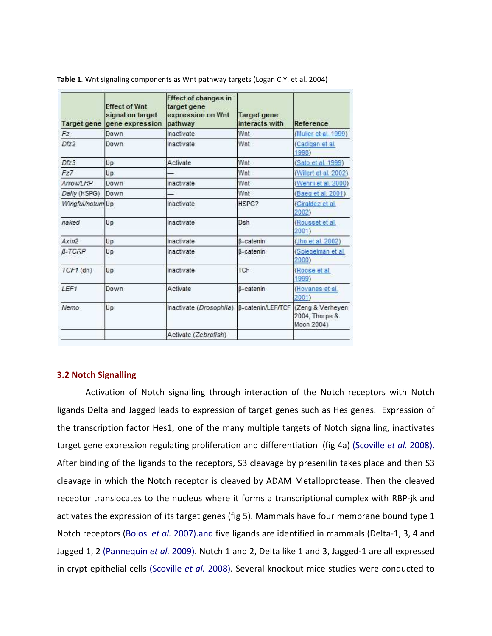| Target gene      | <b>Effect of Wnt</b><br>signal on target<br>gene expression | <b>Effect of changes in</b><br>target gene<br>expression on Wnt<br>pathway | Target gene<br>interacts with | Reference                                         |
|------------------|-------------------------------------------------------------|----------------------------------------------------------------------------|-------------------------------|---------------------------------------------------|
| Fz.              | Down                                                        | Inactivate                                                                 | Wnt                           | (Muller et al. 1999)                              |
| Dfz <sub>2</sub> | Down.                                                       | <b>Inactivate</b>                                                          | Wnt                           | (Cadigan et al.<br>1998)                          |
| Dfz3             | Up                                                          | Activate                                                                   | Wnt                           | (Sato et al. 1999)                                |
| Fz7              | Up                                                          |                                                                            | Wnt                           | (Willert et al. 2002)                             |
| Arrow/LRP        | Down                                                        | Inactivate                                                                 | Wnt                           | (Wehrli et al. 2000)                              |
| Dally (HSPG)     | Down                                                        |                                                                            | Wnt                           | (Baeg et al. 2001)                                |
| Wingful/notum Up |                                                             | Inactivate                                                                 | HSPG?                         | (Giraldez et al.<br>2002)                         |
| naked            | Up                                                          | Inactivate                                                                 | Dsh                           | (Rousset et al.<br>2001)                          |
| Axin2            | Up                                                          | Inactivate                                                                 | <b>B-catenin</b>              | (Jho et al. 2002)                                 |
| <b>B-TCRP</b>    | Up                                                          | Inactivate                                                                 | <b>B-catenin</b>              | (Spiegelman et al.<br>2000)                       |
| $TCF1$ (dn)      | Up                                                          | Inactivate                                                                 | <b>TCF</b>                    | (Roose et al.<br>1999)                            |
| LFF1             | Down                                                        | Activate                                                                   | <b>B-catenin</b>              | (Hovanes et al.<br>2001)                          |
| Nemo             | Up                                                          | Inactivate (Drosophila)                                                    | B-catenin/LEF/TCF             | (Zeng & Verheyen)<br>2004, Thorpe &<br>Moon 2004) |
|                  |                                                             | Activate (Zebrafish)                                                       |                               |                                                   |

**Table 1**. Wnt signaling components as Wnt pathway targets (Logan C.Y. et al. 2004)

### **3.2 Notch Signalling**

Activation of Notch signalling through interaction of the Notch receptors with Notch ligands Delta and Jagged leads to expression of target genes such as Hes genes. Expression of the transcription factor Hes1, one of the many multiple targets of Notch signalling, inactivates target gene expression regulating proliferation and differentiation (fig 4a) (Scoville *et al.* 2008). After binding of the ligands to the receptors, S3 cleavage by presenilin takes place and then S3 cleavage in which the Notch receptor is cleaved by ADAM Metalloprotease. Then the cleaved receptor translocates to the nucleus where it forms a transcriptional complex with RBP-jk and activates the expression of its target genes (fig 5). Mammals have four membrane bound type 1 Notch receptors (Bolos *et al.* 2007).and five ligands are identified in mammals (Delta-1, 3, 4 and Jagged 1, 2 (Pannequin *et al.* 2009). Notch 1 and 2, Delta like 1 and 3, Jagged-1 are all expressed in crypt epithelial cells (Scoville *et al.* 2008). Several knockout mice studies were conducted to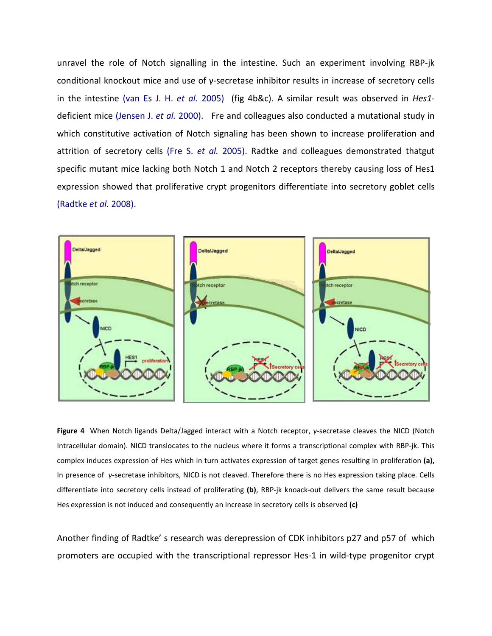unravel the role of Notch signalling in the intestine. Such an experiment involving RBP-jk conditional knockout mice and use of γ-secretase inhibitor results in increase of secretory cells in the intestine (van Es J. H. *et al.* 2005) (fig 4b&c). A similar result was observed in *Hes1* deficient mice (Jensen J. *et al.* 2000). Fre and colleagues also conducted a mutational study in which constitutive activation of Notch signaling has been shown to increase proliferation and attrition of secretory cells (Fre S. *et al.* 2005). Radtke and colleagues demonstrated thatgut specific mutant mice lacking both Notch 1 and Notch 2 receptors thereby causing loss of Hes1 expression showed that proliferative crypt progenitors differentiate into secretory goblet cells (Radtke *et al.* 2008).



**Figure 4** When Notch ligands Delta/Jagged interact with a Notch receptor, γ-secretase cleaves the NICD (Notch Intracellular domain). NICD translocates to the nucleus where it forms a transcriptional complex with RBP-jk. This complex induces expression of Hes which in turn activates expression of target genes resulting in proliferation **(a),**  In presence of γ-secretase inhibitors, NICD is not cleaved. Therefore there is no Hes expression taking place. Cells differentiate into secretory cells instead of proliferating **(b)**, RBP-jk knoack-out delivers the same result because Hes expression is not induced and consequently an increase in secretory cells is observed **(c)**

Another finding of Radtke' s research was derepression of CDK inhibitors p27 and p57 of which promoters are occupied with the transcriptional repressor Hes-1 in wild-type progenitor crypt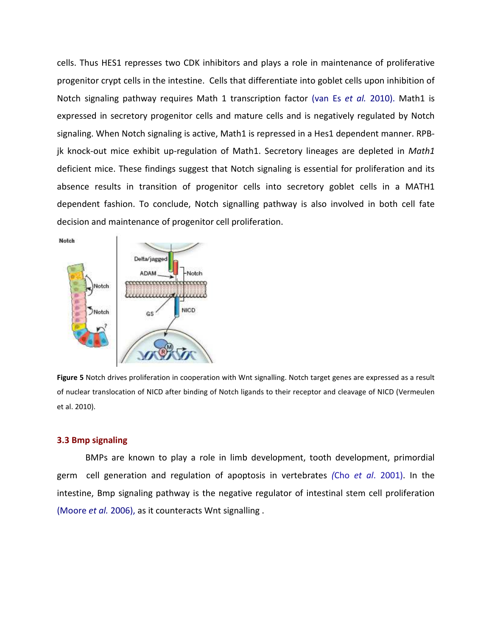cells. Thus HES1 represses two CDK inhibitors and plays a role in maintenance of proliferative progenitor crypt cells in the intestine. Cells that differentiate into goblet cells upon inhibition of Notch signaling pathway requires Math 1 transcription factor (van Es *et al.* 2010). Math1 is expressed in secretory progenitor cells and mature cells and is negatively regulated by Notch signaling. When Notch signaling is active, Math1 is repressed in a Hes1 dependent manner. RPBjk knock-out mice exhibit up-regulation of Math1. Secretory lineages are depleted in *Math1* deficient mice. These findings suggest that Notch signaling is essential for proliferation and its absence results in transition of progenitor cells into secretory goblet cells in a MATH1 dependent fashion. To conclude, Notch signalling pathway is also involved in both cell fate decision and maintenance of progenitor cell proliferation.





**Figure 5** Notch drives proliferation in cooperation with Wnt signalling. Notch target genes are expressed as a result of nuclear translocation of NICD after binding of Notch ligands to their receptor and cleavage of NICD (Vermeulen et al. 2010).

#### **3.3 Bmp signaling**

BMPs are known to play a role in limb development, tooth development, primordial germ cell generation and regulation of apoptosis in vertebrates *(*Cho *et al*. 2001). In the intestine, Bmp signaling pathway is the negative regulator of intestinal stem cell proliferation (Moore *et al.* 2006), as it counteracts Wnt signalling .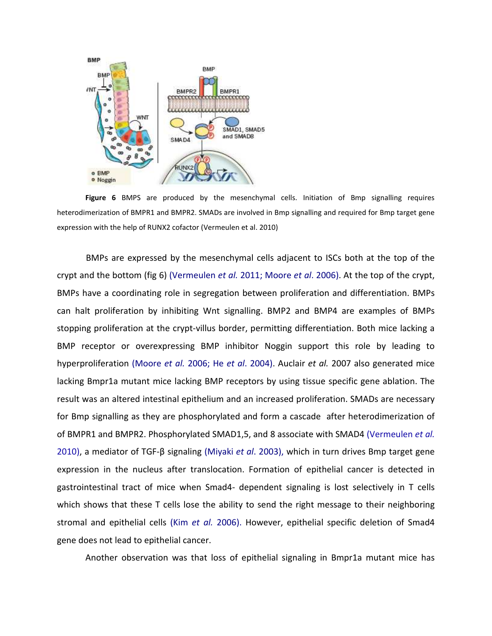

**Figure 6** BMPS are produced by the mesenchymal cells. Initiation of Bmp signalling requires heterodimerization of BMPR1 and BMPR2. SMADs are involved in Bmp signalling and required for Bmp target gene expression with the help of RUNX2 cofactor (Vermeulen et al. 2010)

BMPs are expressed by the mesenchymal cells adjacent to ISCs both at the top of the crypt and the bottom (fig 6) (Vermeulen *et al.* 2011; Moore *et al*. 2006). At the top of the crypt, BMPs have a coordinating role in segregation between proliferation and differentiation. BMPs can halt proliferation by inhibiting Wnt signalling. BMP2 and BMP4 are examples of BMPs stopping proliferation at the crypt-villus border, permitting differentiation. Both mice lacking a BMP receptor or overexpressing BMP inhibitor Noggin support this role by leading to hyperproliferation (Moore *et al.* 2006; He *et al*. 2004). Auclair *et al.* 2007 also generated mice lacking Bmpr1a mutant mice lacking BMP receptors by using tissue specific gene ablation. The result was an altered intestinal epithelium and an increased proliferation. SMADs are necessary for Bmp signalling as they are phosphorylated and form a cascade after heterodimerization of of BMPR1 and BMPR2. Phosphorylated SMAD1,5, and 8 associate with SMAD4 (Vermeulen *et al.* 2010), a mediator of TGF-β signaling (Miyaki *et al*. 2003), which in turn drives Bmp target gene expression in the nucleus after translocation. Formation of epithelial cancer is detected in gastrointestinal tract of mice when Smad4- dependent signaling is lost selectively in T cells which shows that these T cells lose the ability to send the right message to their neighboring stromal and epithelial cells (Kim *et al.* 2006). However, epithelial specific deletion of Smad4 gene does not lead to epithelial cancer.

Another observation was that loss of epithelial signaling in Bmpr1a mutant mice has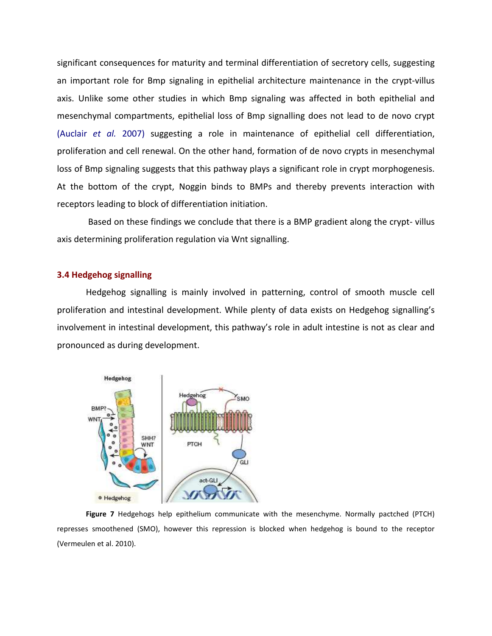significant consequences for maturity and terminal differentiation of secretory cells, suggesting an important role for Bmp signaling in epithelial architecture maintenance in the crypt-villus axis. Unlike some other studies in which Bmp signaling was affected in both epithelial and mesenchymal compartments, epithelial loss of Bmp signalling does not lead to de novo crypt (Auclair *et al.* 2007) suggesting a role in maintenance of epithelial cell differentiation, proliferation and cell renewal. On the other hand, formation of de novo crypts in mesenchymal loss of Bmp signaling suggests that this pathway plays a significant role in crypt morphogenesis. At the bottom of the crypt, Noggin binds to BMPs and thereby prevents interaction with receptors leading to block of differentiation initiation.

 Based on these findings we conclude that there is a BMP gradient along the crypt- villus axis determining proliferation regulation via Wnt signalling.

# **3.4 Hedgehog signalling**

Hedgehog signalling is mainly involved in patterning, control of smooth muscle cell proliferation and intestinal development. While plenty of data exists on Hedgehog signalling's involvement in intestinal development, this pathway's role in adult intestine is not as clear and pronounced as during development.



**Figure 7** Hedgehogs help epithelium communicate with the mesenchyme. Normally pactched (PTCH) represses smoothened (SMO), however this repression is blocked when hedgehog is bound to the receptor (Vermeulen et al. 2010).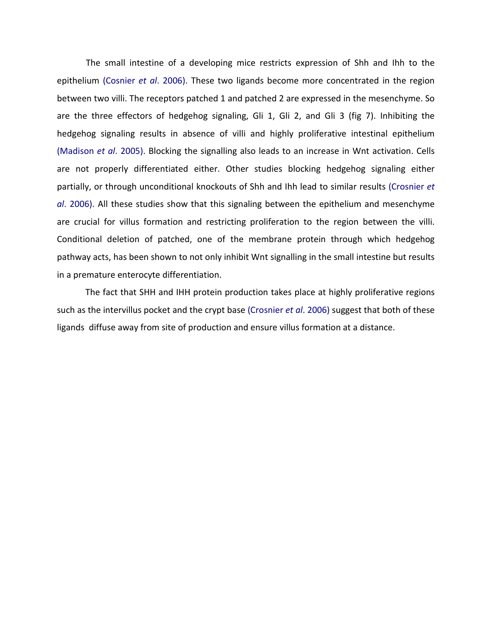The small intestine of a developing mice restricts expression of Shh and Ihh to the epithelium (Cosnier *et al*. 2006). These two ligands become more concentrated in the region between two villi. The receptors patched 1 and patched 2 are expressed in the mesenchyme. So are the three effectors of hedgehog signaling, Gli 1, Gli 2, and Gli 3 (fig 7). Inhibiting the hedgehog signaling results in absence of villi and highly proliferative intestinal epithelium (Madison *et al*. 2005). Blocking the signalling also leads to an increase in Wnt activation. Cells are not properly differentiated either. Other studies blocking hedgehog signaling either partially, or through unconditional knockouts of Shh and Ihh lead to similar results (Crosnier *et al*. 2006). All these studies show that this signaling between the epithelium and mesenchyme are crucial for villus formation and restricting proliferation to the region between the villi. Conditional deletion of patched, one of the membrane protein through which hedgehog pathway acts, has been shown to not only inhibit Wnt signalling in the small intestine but results in a premature enterocyte differentiation.

The fact that SHH and IHH protein production takes place at highly proliferative regions such as the intervillus pocket and the crypt base (Crosnier *et al*. 2006) suggest that both of these ligands diffuse away from site of production and ensure villus formation at a distance.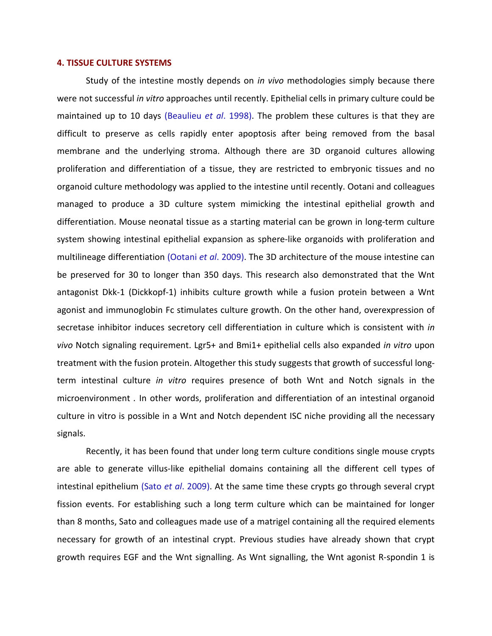### **4. TISSUE CULTURE SYSTEMS**

Study of the intestine mostly depends on *in vivo* methodologies simply because there were not successful *in vitro* approaches until recently. Epithelial cells in primary culture could be maintained up to 10 days (Beaulieu *et al*. 1998). The problem these cultures is that they are difficult to preserve as cells rapidly enter apoptosis after being removed from the basal membrane and the underlying stroma. Although there are 3D organoid cultures allowing proliferation and differentiation of a tissue, they are restricted to embryonic tissues and no organoid culture methodology was applied to the intestine until recently. Ootani and colleagues managed to produce a 3D culture system mimicking the intestinal epithelial growth and differentiation. Mouse neonatal tissue as a starting material can be grown in long-term culture system showing intestinal epithelial expansion as sphere-like organoids with proliferation and multilineage differentiation (Ootani *et al*. 2009). The 3D architecture of the mouse intestine can be preserved for 30 to longer than 350 days. This research also demonstrated that the Wnt antagonist Dkk-1 (Dickkopf-1) inhibits culture growth while a fusion protein between a Wnt agonist and immunoglobin Fc stimulates culture growth. On the other hand, overexpression of secretase inhibitor induces secretory cell differentiation in culture which is consistent with *in vivo* Notch signaling requirement. Lgr5+ and Bmi1+ epithelial cells also expanded *in vitro* upon treatment with the fusion protein. Altogether this study suggests that growth of successful longterm intestinal culture *in vitro* requires presence of both Wnt and Notch signals in the microenvironment *.* In other words, proliferation and differentiation of an intestinal organoid culture in vitro is possible in a Wnt and Notch dependent ISC niche providing all the necessary signals.

Recently, it has been found that under long term culture conditions single mouse crypts are able to generate villus-like epithelial domains containing all the different cell types of intestinal epithelium (Sato *et al*. 2009). At the same time these crypts go through several crypt fission events. For establishing such a long term culture which can be maintained for longer than 8 months, Sato and colleagues made use of a matrigel containing all the required elements necessary for growth of an intestinal crypt. Previous studies have already shown that crypt growth requires EGF and the Wnt signalling. As Wnt signalling, the Wnt agonist R-spondin 1 is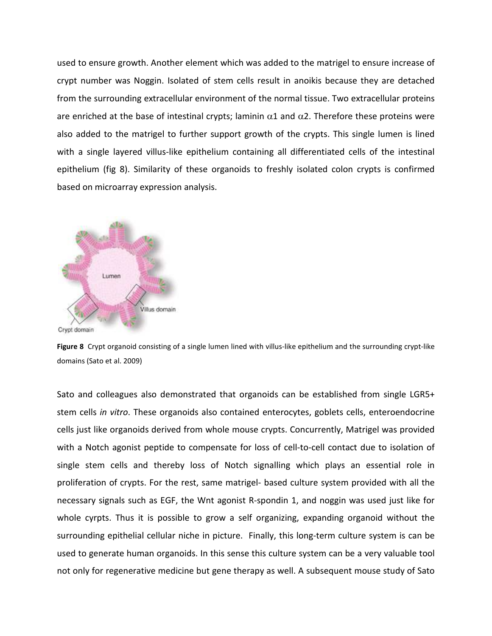used to ensure growth. Another element which was added to the matrigel to ensure increase of crypt number was Noggin. Isolated of stem cells result in anoikis because they are detached from the surrounding extracellular environment of the normal tissue. Two extracellular proteins are enriched at the base of intestinal crypts; laminin  $\alpha$ 1 and  $\alpha$ 2. Therefore these proteins were also added to the matrigel to further support growth of the crypts. This single lumen is lined with a single layered villus-like epithelium containing all differentiated cells of the intestinal epithelium (fig 8). Similarity of these organoids to freshly isolated colon crypts is confirmed based on microarray expression analysis.



**Figure 8** Crypt organoid consisting of a single lumen lined with villus-like epithelium and the surrounding crypt-like domains (Sato et al. 2009)

Sato and colleagues also demonstrated that organoids can be established from single LGR5+ stem cells *in vitro*. These organoids also contained enterocytes, goblets cells, enteroendocrine cells just like organoids derived from whole mouse crypts. Concurrently, Matrigel was provided with a Notch agonist peptide to compensate for loss of cell-to-cell contact due to isolation of single stem cells and thereby loss of Notch signalling which plays an essential role in proliferation of crypts. For the rest, same matrigel- based culture system provided with all the necessary signals such as EGF, the Wnt agonist R-spondin 1, and noggin was used just like for whole cyrpts. Thus it is possible to grow a self organizing, expanding organoid without the surrounding epithelial cellular niche in picture. Finally, this long-term culture system is can be used to generate human organoids. In this sense this culture system can be a very valuable tool not only for regenerative medicine but gene therapy as well. A subsequent mouse study of Sato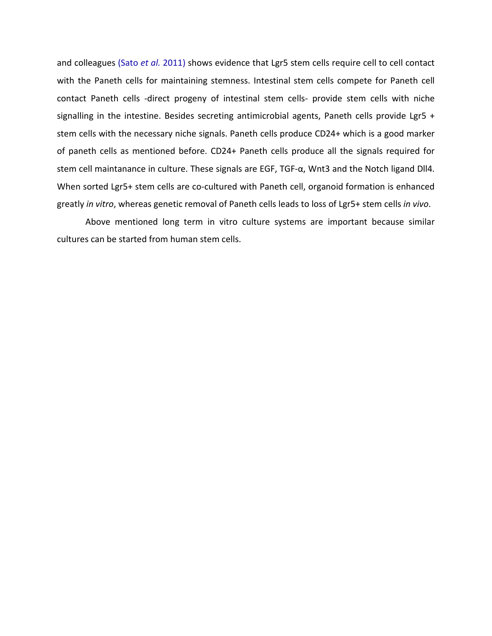and colleagues (Sato *et al.* 2011) shows evidence that Lgr5 stem cells require cell to cell contact with the Paneth cells for maintaining stemness. Intestinal stem cells compete for Paneth cell contact Paneth cells -direct progeny of intestinal stem cells- provide stem cells with niche signalling in the intestine. Besides secreting antimicrobial agents, Paneth cells provide Lgr5 + stem cells with the necessary niche signals. Paneth cells produce CD24+ which is a good marker of paneth cells as mentioned before. CD24+ Paneth cells produce all the signals required for stem cell maintanance in culture. These signals are EGF, TGF-α, Wnt3 and the Notch ligand Dll4. When sorted Lgr5+ stem cells are co-cultured with Paneth cell, organoid formation is enhanced greatly *in vitro*, whereas genetic removal of Paneth cells leads to loss of Lgr5+ stem cells *in vivo*.

Above mentioned long term in vitro culture systems are important because similar cultures can be started from human stem cells.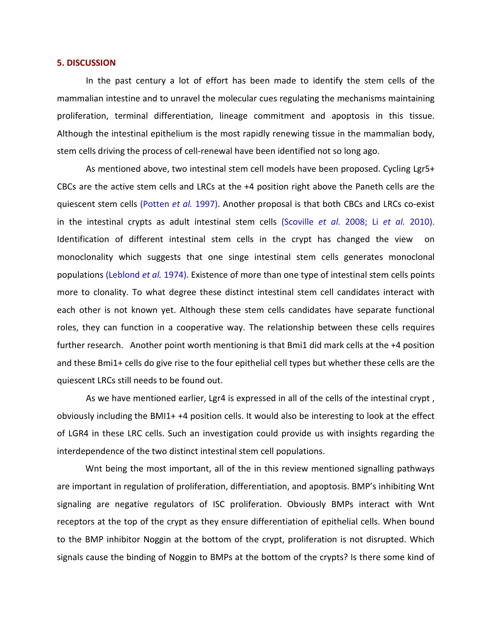#### **5. DISCUSSION**

In the past century a lot of effort has been made to identify the stem cells of the mammalian intestine and to unravel the molecular cues regulating the mechanisms maintaining proliferation, terminal differentiation, lineage commitment and apoptosis in this tissue. Although the intestinal epithelium is the most rapidly renewing tissue in the mammalian body, stem cells driving the process of cell-renewal have been identified not so long ago.

As mentioned above, two intestinal stem cell models have been proposed. Cycling Lgr5+ CBCs are the active stem cells and LRCs at the +4 position right above the Paneth cells are the quiescent stem cells (Potten *et al.* 1997). Another proposal is that both CBCs and LRCs co-exist in the intestinal crypts as adult intestinal stem cells (Scoville *et al.* 2008; Li *et al.* 2010). Identification of different intestinal stem cells in the crypt has changed the view on monoclonality which suggests that one singe intestinal stem cells generates monoclonal populations (Leblond *et al.* 1974). Existence of more than one type of intestinal stem cells points more to clonality. To what degree these distinct intestinal stem cell candidates interact with each other is not known yet. Although these stem cells candidates have separate functional roles, they can function in a cooperative way. The relationship between these cells requires further research. Another point worth mentioning is that Bmi1 did mark cells at the +4 position and these Bmi1+ cells do give rise to the four epithelial cell types but whether these cells are the quiescent LRCs still needs to be found out.

As we have mentioned earlier, Lgr4 is expressed in all of the cells of the intestinal crypt , obviously including the BMI1+ +4 position cells. It would also be interesting to look at the effect of LGR4 in these LRC cells. Such an investigation could provide us with insights regarding the interdependence of the two distinct intestinal stem cell populations.

Wnt being the most important, all of the in this review mentioned signalling pathways are important in regulation of proliferation, differentiation, and apoptosis. BMP's inhibiting Wnt signaling are negative regulators of ISC proliferation. Obviously BMPs interact with Wnt receptors at the top of the crypt as they ensure differentiation of epithelial cells. When bound to the BMP inhibitor Noggin at the bottom of the crypt, proliferation is not disrupted. Which signals cause the binding of Noggin to BMPs at the bottom of the crypts? Is there some kind of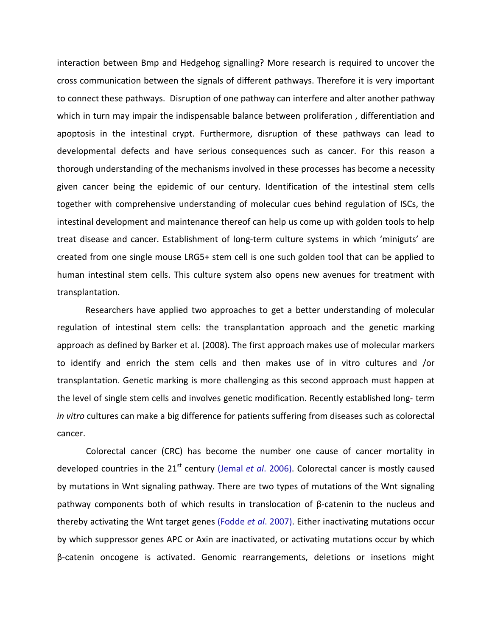interaction between Bmp and Hedgehog signalling? More research is required to uncover the cross communication between the signals of different pathways. Therefore it is very important to connect these pathways. Disruption of one pathway can interfere and alter another pathway which in turn may impair the indispensable balance between proliferation, differentiation and apoptosis in the intestinal crypt. Furthermore, disruption of these pathways can lead to developmental defects and have serious consequences such as cancer. For this reason a thorough understanding of the mechanisms involved in these processes has become a necessity given cancer being the epidemic of our century. Identification of the intestinal stem cells together with comprehensive understanding of molecular cues behind regulation of ISCs, the intestinal development and maintenance thereof can help us come up with golden tools to help treat disease and cancer. Establishment of long-term culture systems in which 'miniguts' are created from one single mouse LRG5+ stem cell is one such golden tool that can be applied to human intestinal stem cells. This culture system also opens new avenues for treatment with transplantation.

Researchers have applied two approaches to get a better understanding of molecular regulation of intestinal stem cells: the transplantation approach and the genetic marking approach as defined by Barker et al. (2008). The first approach makes use of molecular markers to identify and enrich the stem cells and then makes use of in vitro cultures and /or transplantation. Genetic marking is more challenging as this second approach must happen at the level of single stem cells and involves genetic modification. Recently established long- term *in vitro* cultures can make a big difference for patients suffering from diseases such as colorectal cancer.

Colorectal cancer (CRC) has become the number one cause of cancer mortality in developed countries in the 21<sup>st</sup> century (Jemal *et al.* 2006). Colorectal cancer is mostly caused by mutations in Wnt signaling pathway. There are two types of mutations of the Wnt signaling pathway components both of which results in translocation of β-catenin to the nucleus and thereby activating the Wnt target genes (Fodde *et al*. 2007). Either inactivating mutations occur by which suppressor genes APC or Axin are inactivated, or activating mutations occur by which β-catenin oncogene is activated. Genomic rearrangements, deletions or insetions might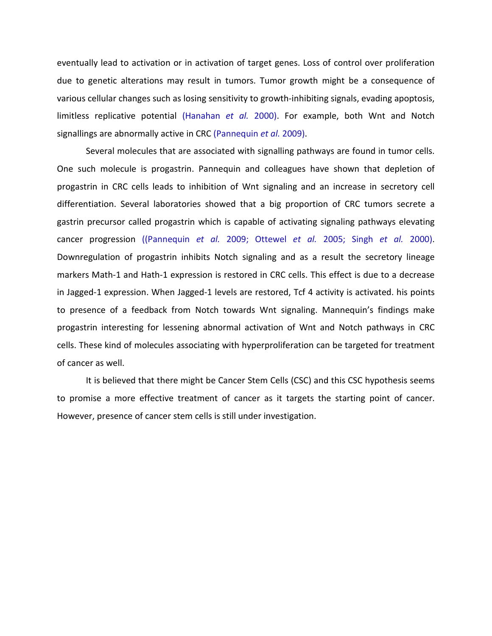eventually lead to activation or in activation of target genes. Loss of control over proliferation due to genetic alterations may result in tumors. Tumor growth might be a consequence of various cellular changes such as losing sensitivity to growth-inhibiting signals, evading apoptosis, limitless replicative potential (Hanahan *et al.* 2000). For example, both Wnt and Notch signallings are abnormally active in CRC (Pannequin *et al.* 2009).

Several molecules that are associated with signalling pathways are found in tumor cells. One such molecule is progastrin. Pannequin and colleagues have shown that depletion of progastrin in CRC cells leads to inhibition of Wnt signaling and an increase in secretory cell differentiation. Several laboratories showed that a big proportion of CRC tumors secrete a gastrin precursor called progastrin which is capable of activating signaling pathways elevating cancer progression ((Pannequin *et al.* 2009; Ottewel *et al.* 2005; Singh *et al.* 2000). Downregulation of progastrin inhibits Notch signaling and as a result the secretory lineage markers Math-1 and Hath-1 expression is restored in CRC cells. This effect is due to a decrease in Jagged-1 expression. When Jagged-1 levels are restored, Tcf 4 activity is activated. his points to presence of a feedback from Notch towards Wnt signaling. Mannequin's findings make progastrin interesting for lessening abnormal activation of Wnt and Notch pathways in CRC cells. These kind of molecules associating with hyperproliferation can be targeted for treatment of cancer as well.

It is believed that there might be Cancer Stem Cells (CSC) and this CSC hypothesis seems to promise a more effective treatment of cancer as it targets the starting point of cancer. However, presence of cancer stem cells is still under investigation.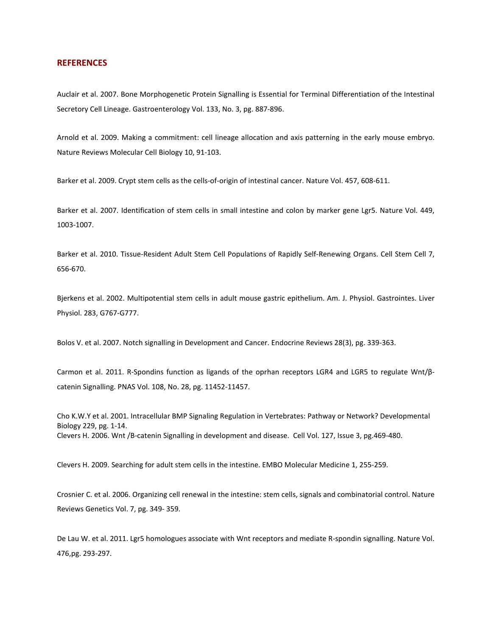#### **REFERENCES**

Auclair et al. 2007. Bone Morphogenetic Protein Signalling is Essential for Terminal Differentiation of the Intestinal Secretory Cell Lineage. Gastroenterology Vol. 133, No. 3, pg. 887-896.

Arnold et al. 2009. [Making a commitment: cell lineage allocation and axis patterning in the early mouse embryo.](http://www.nature.com/nrm/journal/v10/n2/full/nrm2618.html) Nature Reviews Molecular Cell Biology 10, 91-103.

Barker et al. 2009. Crypt stem cells as the cells-of-origin of intestinal cancer. Nature Vol. 457, 608-611.

Barker et al. 2007. Identification of stem cells in small intestine and colon by marker gene Lgr5. Nature Vol. 449, 1003-1007.

Barker et al. 2010. Tissue-Resident Adult Stem Cell Populations of Rapidly Self-Renewing Organs. Cell Stem Cell 7, 656-670.

Bjerkens et al. 2002. Multipotential stem cells in adult mouse gastric epithelium. Am. J. Physiol. Gastrointes. Liver Physiol. 283, G767-G777.

Bolos V. et al. 2007. Notch signalling in Development and Cancer. Endocrine Reviews 28(3), pg. 339-363.

Carmon et al. 2011. R-Spondins function as ligands of the oprhan receptors LGR4 and LGR5 to regulate Wnt/βcatenin Signalling. PNAS Vol. 108, No. 28, pg. 11452-11457.

Cho K.W.Y et al. 2001. Intracellular BMP Signaling Regulation in Vertebrates: Pathway or Network? Developmental Biology 229, pg. 1-14. Clevers H. 2006. Wnt /B-catenin Signalling in development and disease. Cell Vol. 127, Issue 3, pg.469-480.

Clevers H. 2009. Searching for adult stem cells in the intestine. EMBO Molecular Medicine 1, 255-259.

Crosnier C. et al. 2006. Organizing cell renewal in the intestine: stem cells, signals and combinatorial control. Nature Reviews Genetics Vol. 7, pg. 349- 359.

De Lau W. et al. 2011. Lgr5 homologues associate with Wnt receptors and mediate R-spondin signalling. Nature Vol. 476,pg. 293-297.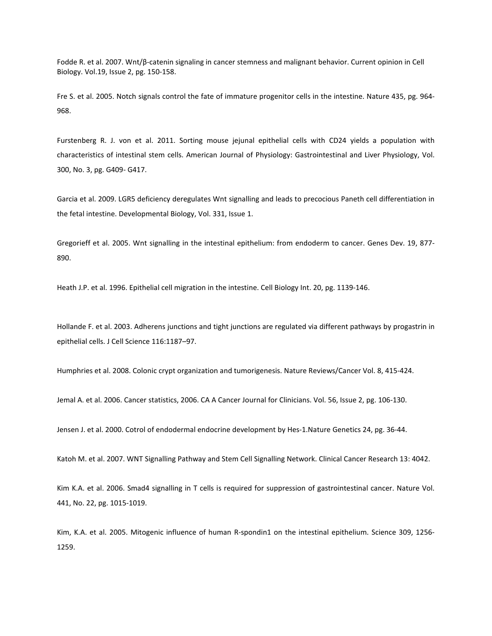Fodde R. et al. 2007. Wnt/β-catenin signaling in cancer stemness and malignant behavior. Current opinion in Cell Biology. Vol.19, Issue 2, pg. 150-158.

Fre S. et al. 2005. Notch signals control the fate of immature progenitor cells in the intestine. Nature 435, pg. 964- 968.

Furstenberg R. J. von et al. 2011. Sorting mouse jejunal epithelial cells with CD24 yields a population with characteristics of intestinal stem cells. American Journal of Physiology: Gastrointestinal and Liver Physiology, Vol. 300, No. 3, pg. G409- G417.

Garcia et al. 2009. LGR5 deficiency deregulates Wnt signalling and leads to precocious Paneth cell differentiation in the fetal intestine. Developmental Biology, Vol. 331, Issue 1.

Gregorieff et al. 2005. Wnt signalling in the intestinal epithelium: from endoderm to cancer. Genes Dev. 19, 877- 890.

Heath J.P. et al. 1996. Epithelial cell migration in the intestine. Cell Biology Int. 20, pg. 1139-146.

Hollande F. et al. 2003. Adherens junctions and tight junctions are regulated via different pathways by progastrin in epithelial cells. J Cell Science 116:1187–97.

Humphries et al. 2008. Colonic crypt organization and tumorigenesis. Nature Reviews/Cancer Vol. 8, 415-424.

Jemal A. et al. 2006. Cancer statistics, 2006. CA A Cancer Journal for Clinicians. Vol. 56, Issue 2, pg. 106-130.

Jensen J. et al. 2000. Cotrol of endodermal endocrine development by Hes-1.Nature Genetics 24, pg. 36-44.

Katoh M. et al. 2007. WNT Signalling Pathway and Stem Cell Signalling Network. Clinical Cancer Research 13: 4042.

Kim K.A. et al. 2006. Smad4 signalling in T cells is required for suppression of gastrointestinal cancer. Nature Vol. 441, No. 22, pg. 1015-1019.

Kim, K.A. et al. 2005. Mitogenic influence of human R-spondin1 on the intestinal epithelium. Science 309, 1256- 1259.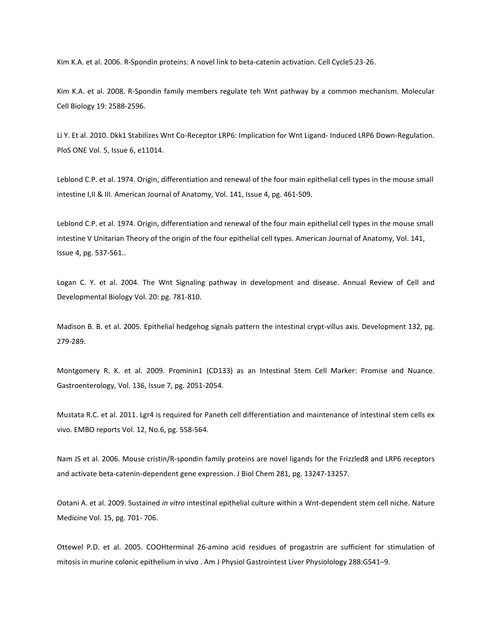Kim K.A. et al. 2006. R-Spondin proteins: A novel link to beta-catenin activation. Cell Cycle5:23-26.

Kim K.A. et al. 2008. R-Spondin family members regulate teh Wnt pathway by a common mechanism. Molecular Cell Biology 19: 2588-2596.

Li Y. Et al. 2010. Dkk1 Stabilizes Wnt Co-Receptor LRP6: Implication for Wnt Ligand- Induced LRP6 Down-Regulation. PloS ONE Vol. 5, Issue 6, e11014.

Leblond C.P. et al. 1974. Origin, differentiation and renewal of the four main epithelial cell types in the mouse small intestine I,II & III. American Journal of Anatomy, Vol. 141, Issue 4, pg. 461-509.

Leblond C.P. et al. 1974. Origin, differentiation and renewal of the four main epithelial cell types in the mouse small intestine V Unitarian Theory of the origin of the four epithelial cell types. American Journal of Anatomy, Vol. 141, Issue 4, pg. 537-561..

Logan C. Y. et al. 2004. The Wnt Signaling pathway in development and disease. Annual Review of Cell and Developmental Biology Vol. 20: pg. 781-810.

Madison B. B. et al. 2005. Epithelial hedgehog signals pattern the intestinal crypt-villus axis. Development 132, pg. 279-289.

Montgomery R. K. et al. 2009. Prominin1 (CD133) as an Intestinal Stem Cell Marker: Promise and Nuance. Gastroenterology, Vol. 136, Issue 7, pg. 2051-2054.

Mustata R.C. et al. 2011. Lgr4 is required for Paneth cell differentiation and maintenance of intestinal stem cells ex vivo. EMBO reports Vol. 12, No.6, pg. 558-564.

Nam JS et al. 2006. Mouse cristin/R-spondin family proteins are novel ligands for the Frizzled8 and LRP6 receptors and activate beta-catenin-dependent gene expression. J Biol Chem 281, pg. 13247-13257.

Ootani A. et al. 2009. Sustained *in vitro* intestinal epithelial culture within a Wnt-dependent stem cell niche. Nature Medicine Vol. 15, pg. 701- 706.

Ottewel P.D. et al. 2005. COOHterminal 26-amino acid residues of progastrin are sufficient for stimulation of mitosis in murine colonic epithelium in vivo . Am J Physiol Gastrointest Liver Physiolology 288:G541–9.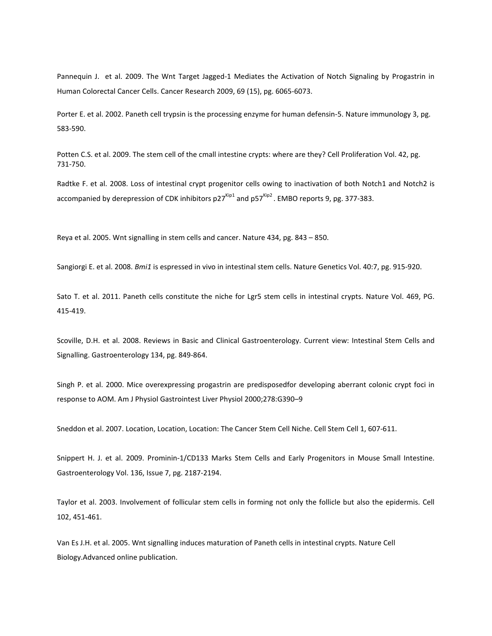Pannequin J. et al. 2009. The Wnt Target Jagged-1 Mediates the Activation of Notch Signaling by Progastrin in Human Colorectal Cancer Cells. Cancer Research 2009, 69 (15), pg. 6065-6073.

Porter E. et al. 2002. Paneth cell trypsin is the processing enzyme for human defensin-5. Nature immunology 3, pg. 583-590.

Potten C.S. et al. 2009. The stem cell of the cmall intestine crypts: where are they? Cell Proliferation Vol. 42, pg. 731-750.

Radtke F. et al. 2008. Loss of intestinal crypt progenitor cells owing to inactivation of both Notch1 and Notch2 is accompanied by derepression of CDK inhibitors  $p27^{kip1}$  and  $p57^{kip2}$ . EMBO reports 9, pg. 377-383.

Reya et al. 2005. Wnt signalling in stem cells and cancer. Nature 434, pg. 843 – 850.

Sangiorgi E. et al. 2008. *Bmi1* is espressed in vivo in intestinal stem cells. Nature Genetics Vol. 40:7, pg. 915-920.

Sato T. et al. 2011. Paneth cells constitute the niche for Lgr5 stem cells in intestinal crypts. Nature Vol. 469, PG. 415-419.

Scoville, D.H. et al. 2008. Reviews in Basic and Clinical Gastroenterology. Current view: Intestinal Stem Cells and Signalling. Gastroenterology 134, pg. 849-864.

Singh P. et al. 2000. Mice overexpressing progastrin are predisposedfor developing aberrant colonic crypt foci in response to AOM. Am J Physiol Gastrointest Liver Physiol 2000;278:G390–9

Sneddon et al. 2007. Location, Location, Location: The Cancer Stem Cell Niche. Cell Stem Cell 1, 607-611.

Snippert H. J. et al. 2009. Prominin-1/CD133 Marks Stem Cells and Early Progenitors in Mouse Small Intestine. Gastroenterology Vol. 136, Issue 7, pg. 2187-2194.

Taylor et al. 2003. Involvement of follicular stem cells in forming not only the follicle but also the epidermis. Cell 102, 451-461.

Van Es J.H. et al. 2005. Wnt signalling induces maturation of Paneth cells in intestinal crypts. Nature Cell Biology.Advanced online publication.